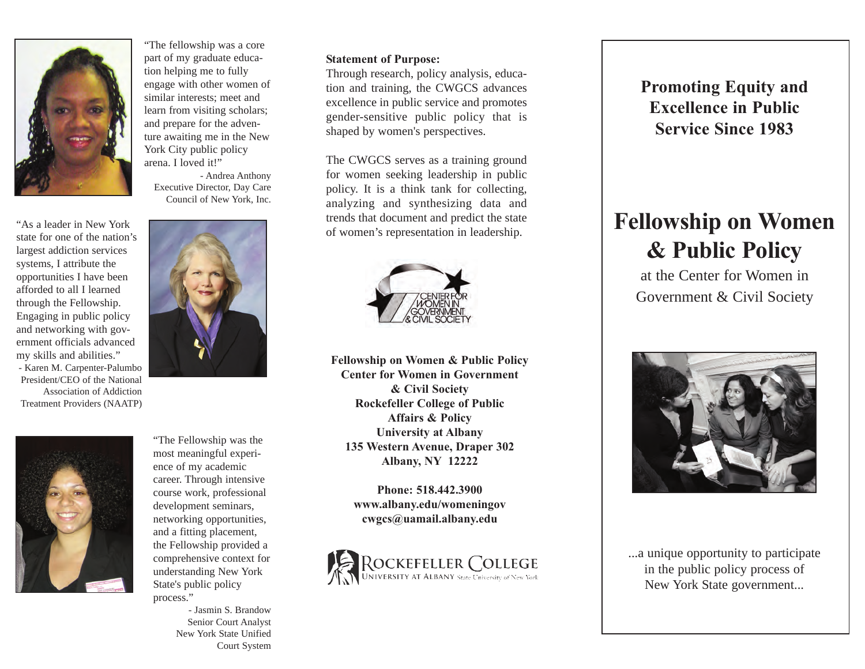

"The fellowship was a core part of my graduate education helping me to fully engage with other women of similar interests; meet and learn from visiting scholars; and prepare for the adventure awaiting me in the New York City public policy arena. I loved it!"

- Andrea Anthony Executive Director, Day Care Council of New York, Inc.

"As a leader in New York state for one of the nation's largest addiction services systems, I attribute the opportunities I have been afforded to all I learned through the Fellowship. Engaging in public policy and networking with government officials advanced my skills and abilities." - Karen M. Carpenter-Palumbo President/CEO of the National Association of Addiction Treatment Providers (NAATP)



"The Fellowship was the most meaningful experience of my academic career. Through intensive course work, professional development seminars, networking opportunities, and a fitting placement, the Fellowship provided a comprehensive context for understanding New York State's public policy process."

> - Jasmin S. Brandow Senior Court Analyst New York State Unified Court System

#### **Statement of Purpose:**

Through research, policy analysis, education and training, the CWGCS advances excellence in public service and promotes gender-sensitive public policy that is shaped by women's perspectives.

The CWGCS serves as a training ground for women seeking leadership in public policy. It is a think tank for collecting, analyzing and synthesizing data and trends that document and predict the state of women's representation in leadership.



**Fellowship on Women & Public Policy Center for Women in Government & Civil Society Rockefeller College of Public Affairs & Policy University at Albany 135 Western Avenue, Draper 302 Albany, NY 12222**

> **Phone: 518.442.3900 www.albany.edu/womeningov cwgcs@uamail.albany.edu**



**Promoting Equity and Excellence in Public Service Since 1983**

## **Fellowship on Women & Public Policy**

at the Center for Women in Government & Civil Society



...a unique opportunity to participate in the public policy process of New York State government...